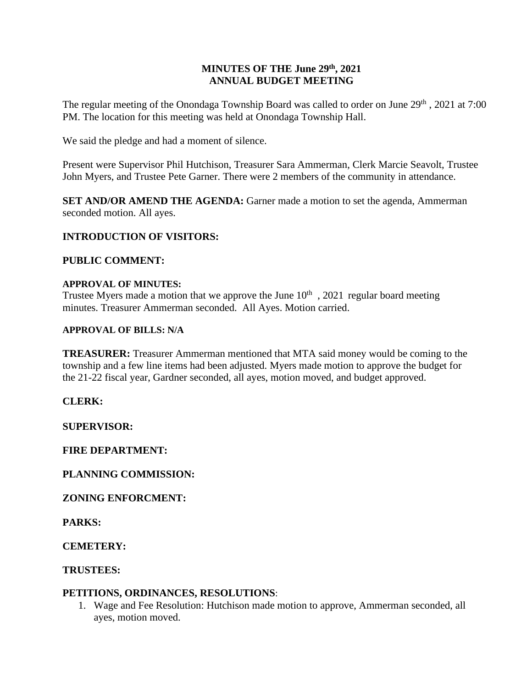#### **MINUTES OF THE June 29th , 2021 ANNUAL BUDGET MEETING**

The regular meeting of the Onondaga Township Board was called to order on June 29<sup>th</sup>, 2021 at 7:00 PM. The location for this meeting was held at Onondaga Township Hall.

We said the pledge and had a moment of silence.

Present were Supervisor Phil Hutchison, Treasurer Sara Ammerman, Clerk Marcie Seavolt, Trustee John Myers, and Trustee Pete Garner. There were 2 members of the community in attendance.

**SET AND/OR AMEND THE AGENDA:** Garner made a motion to set the agenda, Ammerman seconded motion. All ayes.

# **INTRODUCTION OF VISITORS:**

# **PUBLIC COMMENT:**

#### **APPROVAL OF MINUTES:**

Trustee Myers made a motion that we approve the June  $10<sup>th</sup>$ , 2021 regular board meeting minutes. Treasurer Ammerman seconded. All Ayes. Motion carried.

#### **APPROVAL OF BILLS: N/A**

**TREASURER:** Treasurer Ammerman mentioned that MTA said money would be coming to the township and a few line items had been adjusted. Myers made motion to approve the budget for the 21-22 fiscal year, Gardner seconded, all ayes, motion moved, and budget approved.

# **CLERK:**

**SUPERVISOR:**

# **FIRE DEPARTMENT:**

**PLANNING COMMISSION:**

# **ZONING ENFORCMENT:**

**PARKS:** 

**CEMETERY:**

# **TRUSTEES:**

# **PETITIONS, ORDINANCES, RESOLUTIONS**:

1. Wage and Fee Resolution: Hutchison made motion to approve, Ammerman seconded, all ayes, motion moved.